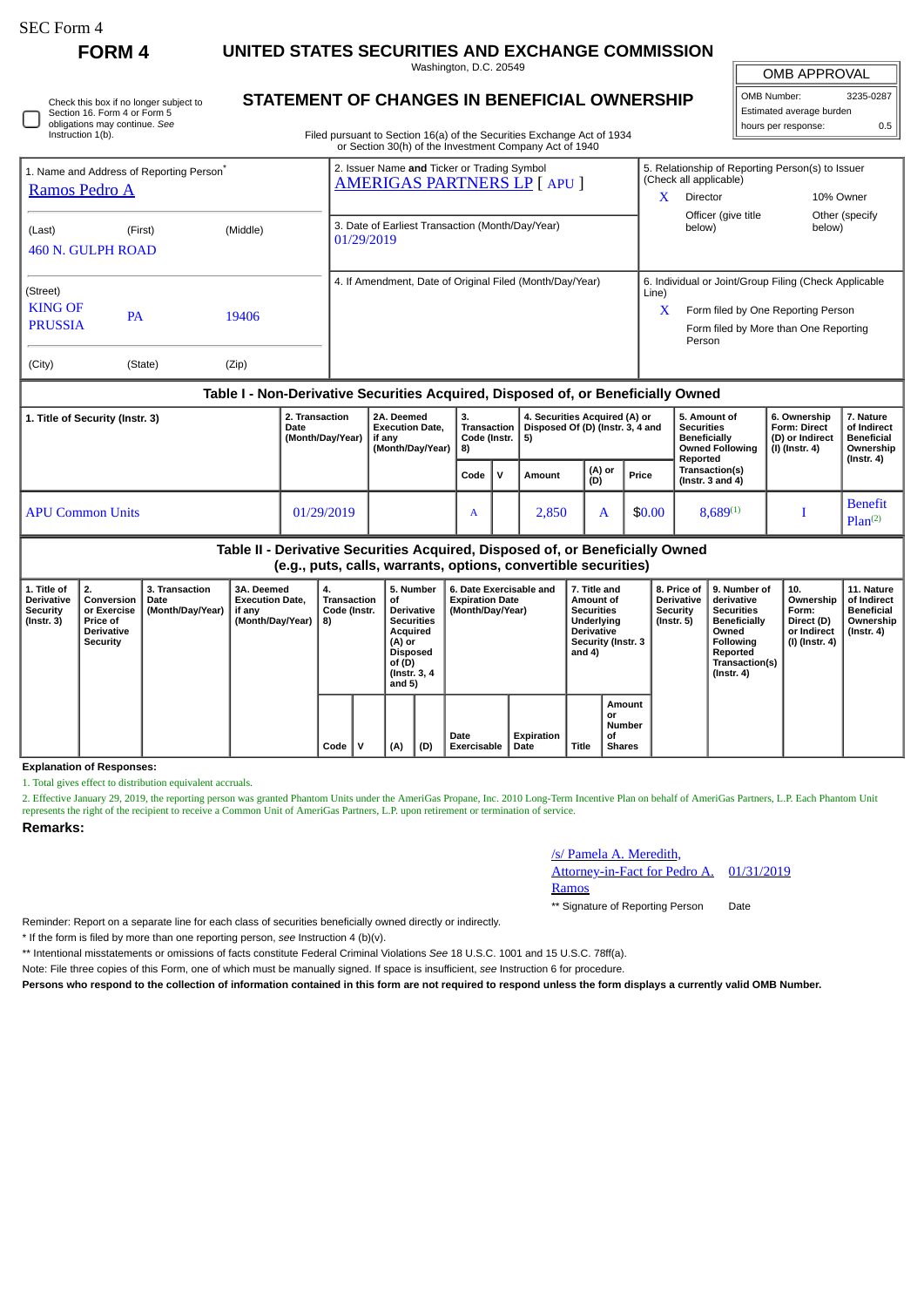| SEC Form 4 |  |
|------------|--|
|------------|--|

∩

**FORM 4 UNITED STATES SECURITIES AND EXCHANGE COMMISSION**

Washington, D.C. 20549

| Check this box if no longer subject to |
|----------------------------------------|
| Section 16. Form 4 or Form 5           |
| obligations may continue. See          |
| Instruction 1(b).                      |

# **STATEMENT OF CHANGES IN BENEFICIAL OWNERSHIP**

Filed pursuant to Section 16(a) of the Securities Exchange Act of 1934 or Section 30(h) of the Investment Company Act of 1940

| OMB APPROVAL             |           |  |  |  |  |  |  |  |
|--------------------------|-----------|--|--|--|--|--|--|--|
| OMB Number:              | 3235-0287 |  |  |  |  |  |  |  |
| Estimated average burden |           |  |  |  |  |  |  |  |
| hours per response:      | 0.5       |  |  |  |  |  |  |  |

| 1. Name and Address of Reporting Person <sup>®</sup><br>Ramos Pedro A |                    |          | 2. Issuer Name and Ticker or Trading Symbol<br><b>AMERIGAS PARTNERS LP [ APU ]</b> | x     | 5. Relationship of Reporting Person(s) to Issuer<br>(Check all applicable)<br>Director                                                         | 10% Owner                |  |
|-----------------------------------------------------------------------|--------------------|----------|------------------------------------------------------------------------------------|-------|------------------------------------------------------------------------------------------------------------------------------------------------|--------------------------|--|
| (Last)<br>460 N. GULPH ROAD                                           | (First)            | (Middle) | 3. Date of Earliest Transaction (Month/Day/Year)<br>01/29/2019                     |       | Officer (give title)<br>below)                                                                                                                 | Other (specify<br>below) |  |
| (Street)<br><b>KING OF</b><br><b>PRUSSIA</b>                          | 19406<br><b>PA</b> |          | 4. If Amendment, Date of Original Filed (Month/Day/Year)                           | Line) | 6. Individual or Joint/Group Filing (Check Applicable<br>Form filed by One Reporting Person<br>Form filed by More than One Reporting<br>Person |                          |  |
| (City)                                                                | (State)            | (Zip)    |                                                                                    |       |                                                                                                                                                |                          |  |

#### **Table I - Non-Derivative Securities Acquired, Disposed of, or Beneficially Owned**

| 1. Title of Security (Instr. 3) | 2. Transaction<br>Date<br>(Month/Day/Year) | 2A. Deemed<br><b>Execution Date.</b><br>if anv<br>(Month/Day/Year)   8) | з.<br>Transaction<br>Code (Instr. $\vert 5$ ) |  | 4. Securities Acquired (A) or<br>Disposed Of (D) (Instr. 3, 4 and |               |        | 5. Amount of<br><b>Securities</b><br><b>Beneficially</b><br><b>Owned Following</b><br>Reported | 6. Ownership<br><b>Form: Direct</b><br>(D) or Indirect<br>(I) (Instr. 4) | 7. Nature<br>of Indirect<br><b>Beneficial</b><br>Ownership<br>$($ Instr. 4 $)$ |  |
|---------------------------------|--------------------------------------------|-------------------------------------------------------------------------|-----------------------------------------------|--|-------------------------------------------------------------------|---------------|--------|------------------------------------------------------------------------------------------------|--------------------------------------------------------------------------|--------------------------------------------------------------------------------|--|
|                                 |                                            |                                                                         | Code                                          |  | Amount                                                            | (A) or<br>(D) | Price  | Transaction(s)<br>$($ lnstr. 3 and 4 $)$                                                       |                                                                          |                                                                                |  |
| <b>APU Common Units</b>         | 01/29/2019                                 |                                                                         | A                                             |  | 2,850                                                             |               | \$0.00 | $8,689^{(1)}$                                                                                  |                                                                          | <b>Benefit</b><br>Plan <sup>(2)</sup>                                          |  |

#### **Table II - Derivative Securities Acquired, Disposed of, or Beneficially Owned (e.g., puts, calls, warrants, options, convertible securities)**

|                                                                         | .                                                                                   |                                            |                                                                           |                                         |  |                                                                                                                                         |     |                                                                       |                    |                                                                                                                   |                                               |                                                                   |                                                                                                                                   |                                                                            |                                                                                 |
|-------------------------------------------------------------------------|-------------------------------------------------------------------------------------|--------------------------------------------|---------------------------------------------------------------------------|-----------------------------------------|--|-----------------------------------------------------------------------------------------------------------------------------------------|-----|-----------------------------------------------------------------------|--------------------|-------------------------------------------------------------------------------------------------------------------|-----------------------------------------------|-------------------------------------------------------------------|-----------------------------------------------------------------------------------------------------------------------------------|----------------------------------------------------------------------------|---------------------------------------------------------------------------------|
| 1. Title of<br><b>Derivative</b><br><b>Security</b><br>$($ lnstr. 3 $)$ | 2.<br>Conversion<br>or Exercise<br><b>Price of</b><br><b>Derivative</b><br>Security | 3. Transaction<br>Date<br>(Month/Day/Year) | <b>3A. Deemed</b><br><b>Execution Date,</b><br>if any<br>(Month/Day/Year) | 4.<br>Transaction<br>Code (Instr.<br>8) |  | 5. Number<br>οf<br><b>Derivative</b><br><b>Securities</b><br>Acquired<br>(A) or<br><b>Disposed</b><br>of (D)<br>(Instr. 3, 4)<br>and 5) |     | 6. Date Exercisable and<br><b>Expiration Date</b><br>(Month/Day/Year) |                    | 7. Title and<br>Amount of<br><b>Securities</b><br>Underlying<br><b>Derivative</b><br>Security (Instr. 3<br>and 4) |                                               | 8. Price of<br><b>Derivative</b><br><b>Security</b><br>(Instr. 5) | 9. Number of<br>derivative<br><b>Securities</b><br>Beneficially<br>Owned<br>Following<br>Reported<br>Transaction(s)<br>(Instr. 4) | 10.<br>Ownership<br>Form:<br>Direct (D)<br>or Indirect<br>  (I) (Instr. 4) | 11. Nature<br>of Indirect<br><b>Beneficial</b><br>Ownership<br>$($ Instr. 4 $)$ |
|                                                                         |                                                                                     |                                            |                                                                           | $Code \vert$                            |  | (A)                                                                                                                                     | (D) | Date<br>Exercisable                                                   | Expiration<br>Date | Title                                                                                                             | Amount<br>or<br>Number<br>οf<br><b>Shares</b> |                                                                   |                                                                                                                                   |                                                                            |                                                                                 |

**Explanation of Responses:**

1. Total gives effect to distribution equivalent accruals.

2. Effective January 29, 2019, the reporting person was granted Phantom Units under the AmeriGas Propane, Inc. 2010 Long-Term Incentive Plan on behalf of AmeriGas Partners, L.P. Each Phantom Unit represents the right of the recipient to receive a Common Unit of AmeriGas Partners, L.P. upon retirement or termination of service.

### **Remarks:**

## /s/ Pamela A. Meredith,

Attorney-in-Fact for Pedro A. 01/31/2019

Ramos

\*\* Signature of Reporting Person Date

Reminder: Report on a separate line for each class of securities beneficially owned directly or indirectly.

\* If the form is filed by more than one reporting person, *see* Instruction 4 (b)(v).

\*\* Intentional misstatements or omissions of facts constitute Federal Criminal Violations *See* 18 U.S.C. 1001 and 15 U.S.C. 78ff(a).

Note: File three copies of this Form, one of which must be manually signed. If space is insufficient, *see* Instruction 6 for procedure.

**Persons who respond to the collection of information contained in this form are not required to respond unless the form displays a currently valid OMB Number.**